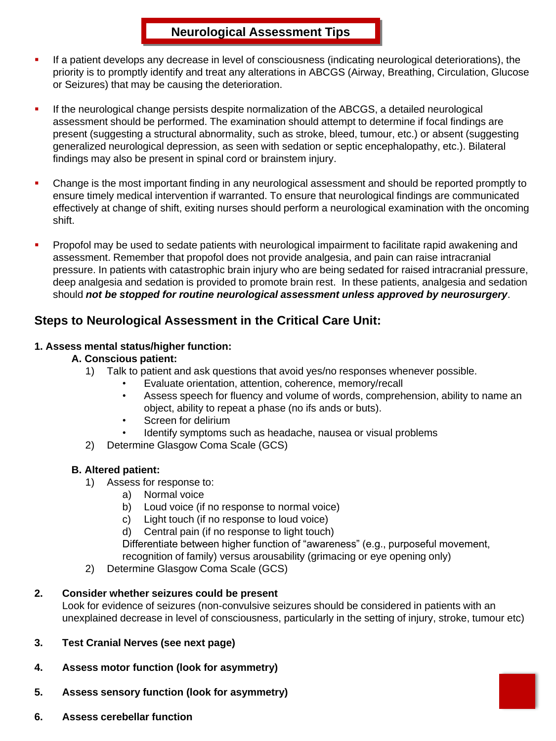- If a patient develops any decrease in level of consciousness (indicating neurological deteriorations), the priority is to promptly identify and treat any alterations in ABCGS (Airway, Breathing, Circulation, Glucose or Seizures) that may be causing the deterioration.
- If the neurological change persists despite normalization of the ABCGS, a detailed neurological assessment should be performed. The examination should attempt to determine if focal findings are present (suggesting a structural abnormality, such as stroke, bleed, tumour, etc.) or absent (suggesting generalized neurological depression, as seen with sedation or septic encephalopathy, etc.). Bilateral findings may also be present in spinal cord or brainstem injury.
- Change is the most important finding in any neurological assessment and should be reported promptly to ensure timely medical intervention if warranted. To ensure that neurological findings are communicated effectively at change of shift, exiting nurses should perform a neurological examination with the oncoming shift.
- Propofol may be used to sedate patients with neurological impairment to facilitate rapid awakening and assessment. Remember that propofol does not provide analgesia, and pain can raise intracranial pressure. In patients with catastrophic brain injury who are being sedated for raised intracranial pressure, deep analgesia and sedation is provided to promote brain rest. In these patients, analgesia and sedation should *not be stopped for routine neurological assessment unless approved by neurosurgery*.

## **Steps to Neurological Assessment in the Critical Care Unit:**

### **1. Assess mental status/higher function:**

### **A. Conscious patient:**

- 1) Talk to patient and ask questions that avoid yes/no responses whenever possible.
	- Evaluate orientation, attention, coherence, memory/recall
	- Assess speech for fluency and volume of words, comprehension, ability to name an object, ability to repeat a phase (no ifs ands or buts).
	- Screen for delirium
	- Identify symptoms such as headache, nausea or visual problems
- 2) Determine Glasgow Coma Scale (GCS)

### **B. Altered patient:**

- 1) Assess for response to:
	- a) Normal voice
	- b) Loud voice (if no response to normal voice)
	- c) Light touch (if no response to loud voice)
	- d) Central pain (if no response to light touch)

Differentiate between higher function of "awareness" (e.g., purposeful movement, recognition of family) versus arousability (grimacing or eye opening only)

2) Determine Glasgow Coma Scale (GCS)

### **2. Consider whether seizures could be present**

Look for evidence of seizures (non-convulsive seizures should be considered in patients with an unexplained decrease in level of consciousness, particularly in the setting of injury, stroke, tumour etc)

### **3. Test Cranial Nerves (see next page)**

- **4. Assess motor function (look for asymmetry)**
- **5. Assess sensory function (look for asymmetry)**
- **6. Assess cerebellar function**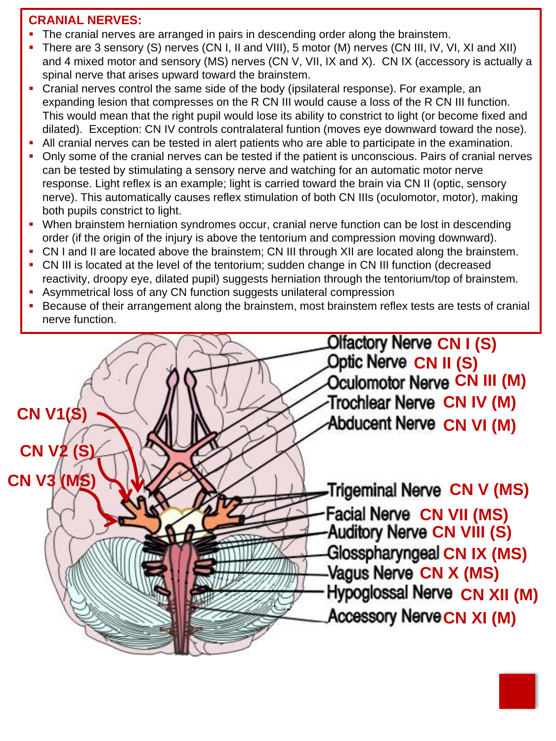## **CRANIAL NERVES:**

- The cranial nerves are arranged in pairs in descending order along the brainstem.
- There are 3 sensory (S) nerves (CN I, II and VIII), 5 motor (M) nerves (CN III, IV, VI, XI and XII) and 4 mixed motor and sensory (MS) nerves (CN V, VII, IX and X). CN IX (accessory is actually a spinal nerve that arises upward toward the brainstem.
- Cranial nerves control the same side of the body (ipsilateral response). For example, an expanding lesion that compresses on the R CN III would cause a loss of the R CN III function. This would mean that the right pupil would lose its ability to constrict to light (or become fixed and dilated). Exception: CN IV controls contralateral funtion (moves eye downward toward the nose).
- All cranial nerves can be tested in alert patients who are able to participate in the examination.
- Only some of the cranial nerves can be tested if the patient is unconscious. Pairs of cranial nerves can be tested by stimulating a sensory nerve and watching for an automatic motor nerve response. Light reflex is an example; light is carried toward the brain via CN II (optic, sensory nerve). This automatically causes reflex stimulation of both CN IIIs (oculomotor, motor), making both pupils constrict to light.
- When brainstem herniation syndromes occur, cranial nerve function can be lost in descending order (if the origin of the injury is above the tentorium and compression moving downward).
- CN I and II are located above the brainstem; CN III through XII are located along the brainstem.
- CN III is located at the level of the tentorium; sudden change in CN III function (decreased reactivity, droopy eye, dilated pupil) suggests herniation through the tentorium/top of brainstem.
- **EXECT** Asymmetrical loss of any CN function suggests unilateral compression
- Because of their arrangement along the brainstem, most brainstem reflex tests are tests of cranial nerve function.



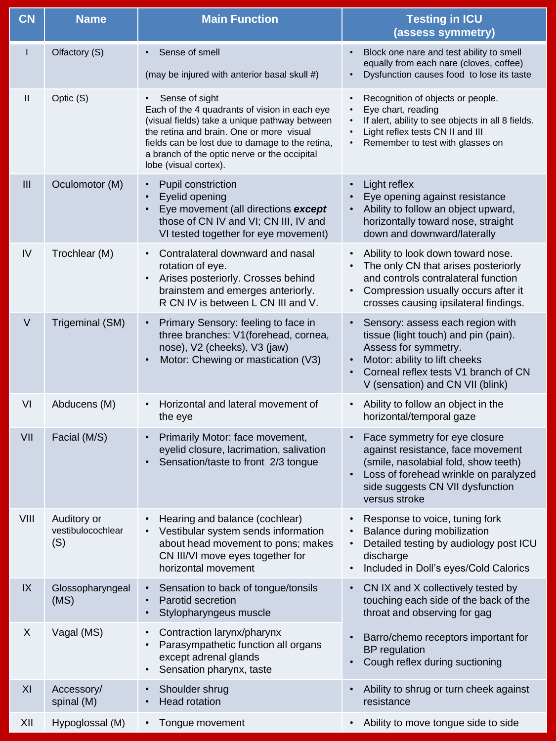| <b>CN</b>     | <b>Name</b>                             | <b>Main Function</b>                                                                                                                                                                                                                                                                     | <b>Testing in ICU</b><br>(assess symmetry)                                                                                                                                                                    |
|---------------|-----------------------------------------|------------------------------------------------------------------------------------------------------------------------------------------------------------------------------------------------------------------------------------------------------------------------------------------|---------------------------------------------------------------------------------------------------------------------------------------------------------------------------------------------------------------|
| L             | Olfactory (S)                           | Sense of smell<br>(may be injured with anterior basal skull #)                                                                                                                                                                                                                           | Block one nare and test ability to smell<br>equally from each nare (cloves, coffee)<br>Dysfunction causes food to lose its taste                                                                              |
| $\mathbf{II}$ | Optic (S)                               | Sense of sight<br>Each of the 4 quadrants of vision in each eye<br>(visual fields) take a unique pathway between<br>the retina and brain. One or more visual<br>fields can be lost due to damage to the retina,<br>a branch of the optic nerve or the occipital<br>lobe (visual cortex). | Recognition of objects or people.<br>$\bullet$<br>Eye chart, reading<br>If alert, ability to see objects in all 8 fields.<br>Light reflex tests CN II and III<br>Remember to test with glasses on             |
| III           | Oculomotor (M)                          | Pupil constriction<br>Eyelid opening<br>Eye movement (all directions except<br>those of CN IV and VI; CN III, IV and<br>VI tested together for eye movement)                                                                                                                             | Light reflex<br>Eye opening against resistance<br>Ability to follow an object upward,<br>horizontally toward nose, straight<br>down and downward/laterally                                                    |
| IV            | Trochlear (M)                           | Contralateral downward and nasal<br>rotation of eye.<br>Arises posteriorly. Crosses behind<br>brainstem and emerges anteriorly.<br>R CN IV is between L CN III and V.                                                                                                                    | Ability to look down toward nose.<br>The only CN that arises posteriorly<br>and controls contralateral function<br>Compression usually occurs after it<br>crosses causing ipsilateral findings.               |
| $\vee$        | Trigeminal (SM)                         | Primary Sensory: feeling to face in<br>three branches: V1(forehead, cornea,<br>nose), V2 (cheeks), V3 (jaw)<br>Motor: Chewing or mastication (V3)                                                                                                                                        | Sensory: assess each region with<br>tissue (light touch) and pin (pain).<br>Assess for symmetry.<br>Motor: ability to lift cheeks<br>Corneal reflex tests V1 branch of CN<br>V (sensation) and CN VII (blink) |
| VI            | Abducens (M)                            | Horizontal and lateral movement of<br>the eye                                                                                                                                                                                                                                            | Ability to follow an object in the<br>horizontal/temporal gaze                                                                                                                                                |
| VII           | Facial (M/S)                            | Primarily Motor: face movement,<br>eyelid closure, lacrimation, salivation<br>Sensation/taste to front 2/3 tongue                                                                                                                                                                        | Face symmetry for eye closure<br>against resistance, face movement<br>(smile, nasolabial fold, show teeth)<br>Loss of forehead wrinkle on paralyzed<br>side suggests CN VII dysfunction<br>versus stroke      |
| VIII          | Auditory or<br>vestibulocochlear<br>(S) | Hearing and balance (cochlear)<br>Vestibular system sends information<br>about head movement to pons; makes<br>CN III/VI move eyes together for<br>horizontal movement                                                                                                                   | Response to voice, tuning fork<br>Balance during mobilization<br>$\bullet$<br>Detailed testing by audiology post ICU<br>$\bullet$<br>discharge<br>Included in Doll's eyes/Cold Calorics                       |
| IX            | Glossopharyngeal<br>(MS)                | Sensation to back of tongue/tonsils<br>Parotid secretion<br>Stylopharyngeus muscle<br>$\bullet$                                                                                                                                                                                          | CN IX and X collectively tested by<br>$\bullet$<br>touching each side of the back of the<br>throat and observing for gag                                                                                      |
| X             | Vagal (MS)                              | Contraction larynx/pharynx<br>٠<br>Parasympathetic function all organs<br>except adrenal glands<br>Sensation pharynx, taste<br>$\bullet$                                                                                                                                                 | Barro/chemo receptors important for<br><b>BP</b> regulation<br>Cough reflex during suctioning                                                                                                                 |
| XI            | Accessory/<br>spinal (M)                | Shoulder shrug<br><b>Head rotation</b>                                                                                                                                                                                                                                                   | Ability to shrug or turn cheek against<br>resistance                                                                                                                                                          |
| XII           | Hypoglossal (M)                         | Tongue movement<br>$\bullet$                                                                                                                                                                                                                                                             | Ability to move tongue side to side                                                                                                                                                                           |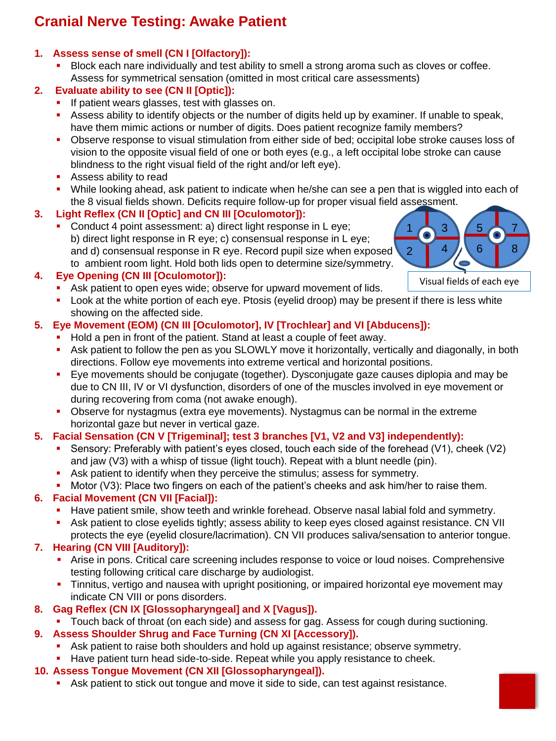# **Cranial Nerve Testing: Awake Patient**

## **1. Assess sense of smell (CN I [Olfactory]):**

Block each nare individually and test ability to smell a strong aroma such as cloves or coffee. Assess for symmetrical sensation (omitted in most critical care assessments)

## **2. Evaluate ability to see (CN II [Optic]):**

- **.** If patient wears glasses, test with glasses on.
- **EXECTS** Assess ability to identify objects or the number of digits held up by examiner. If unable to speak, have them mimic actions or number of digits. Does patient recognize family members?
- Observe response to visual stimulation from either side of bed; occipital lobe stroke causes loss of vision to the opposite visual field of one or both eyes (e.g., a left occipital lobe stroke can cause blindness to the right visual field of the right and/or left eye).
- Assess ability to read
- While looking ahead, ask patient to indicate when he/she can see a pen that is wiggled into each of the 8 visual fields shown. Deficits require follow-up for proper visual field assessment.

## **3. Light Reflex (CN II [Optic] and CN III [Oculomotor]):**

■ Conduct 4 point assessment: a) direct light response in L eye; b) direct light response in R eye; c) consensual response in L eye; and d) consensual response in R eye. Record pupil size when exposed to ambient room light. Hold both lids open to determine size/symmetry.

## **4. Eye Opening (CN III [Oculomotor]):**

- **EXECT** Ask patient to open eyes wide; observe for upward movement of lids.
- Look at the white portion of each eye. Ptosis (eyelid droop) may be present if there is less white showing on the affected side.

## **5. Eye Movement (EOM) (CN III [Oculomotor], IV [Trochlear] and VI [Abducens]):**

- Hold a pen in front of the patient. Stand at least a couple of feet away.
- Ask patient to follow the pen as you SLOWLY move it horizontally, vertically and diagonally, in both directions. Follow eye movements into extreme vertical and horizontal positions.
- Eye movements should be conjugate (together). Dysconjugate gaze causes diplopia and may be due to CN III, IV or VI dysfunction, disorders of one of the muscles involved in eye movement or during recovering from coma (not awake enough).
- **•** Observe for nystagmus (extra eye movements). Nystagmus can be normal in the extreme horizontal gaze but never in vertical gaze.

## **5. Facial Sensation (CN V [Trigeminal]; test 3 branches [V1, V2 and V3] independently):**

- Sensory: Preferably with patient's eyes closed, touch each side of the forehead (V1), cheek (V2) and jaw (V3) with a whisp of tissue (light touch). Repeat with a blunt needle (pin).
- **EXECT** Ask patient to identify when they perceive the stimulus; assess for symmetry.
- **•** Motor (V3): Place two fingers on each of the patient's cheeks and ask him/her to raise them.

## **6. Facial Movement (CN VII [Facial]):**

- **EXECT** Have patient smile, show teeth and wrinkle forehead. Observe nasal labial fold and symmetry.
- Ask patient to close eyelids tightly; assess ability to keep eyes closed against resistance. CN VII protects the eye (eyelid closure/lacrimation). CN VII produces saliva/sensation to anterior tongue.

## **7. Hearing (CN VIII [Auditory]):**

- **•** Arise in pons. Critical care screening includes response to voice or loud noises. Comprehensive testing following critical care discharge by audiologist.
- **·** Tinnitus, vertigo and nausea with upright positioning, or impaired horizontal eye movement may indicate CN VIII or pons disorders.
- **8. Gag Reflex (CN IX [Glossopharyngeal] and X [Vagus]).**
	- Touch back of throat (on each side) and assess for gag. Assess for cough during suctioning.
- **9. Assess Shoulder Shrug and Face Turning (CN XI [Accessory]).**
	- **EXECT** Ask patient to raise both shoulders and hold up against resistance; observe symmetry.
	- Have patient turn head side-to-side. Repeat while you apply resistance to cheek.
- **10. Assess Tongue Movement (CN XII [Glossopharyngeal]).**
	- Ask patient to stick out tongue and move it side to side, can test against resistance.

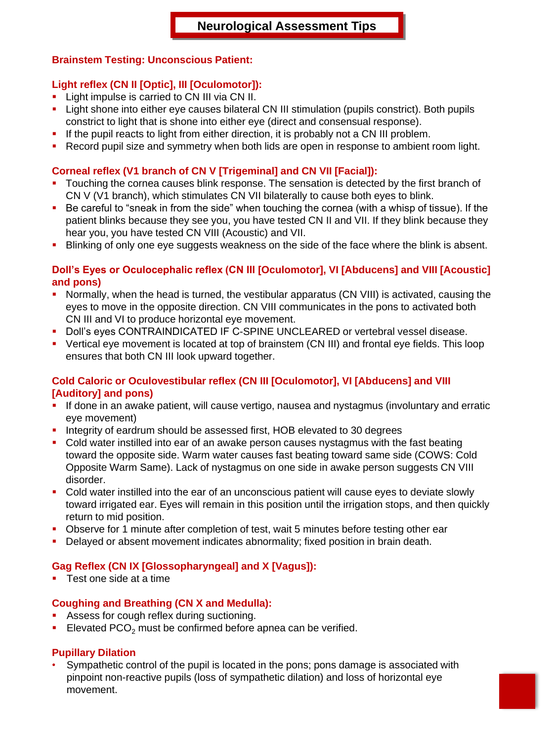#### **Brainstem Testing: Unconscious Patient:**

#### **Light reflex (CN II [Optic], III [Oculomotor]):**

- **E** Light impulse is carried to CN III via CN II.
- **.** Light shone into either eye causes bilateral CN III stimulation (pupils constrict). Both pupils constrict to light that is shone into either eye (direct and consensual response).
- **.** If the pupil reacts to light from either direction, it is probably not a CN III problem.
- Record pupil size and symmetry when both lids are open in response to ambient room light.

#### **Corneal reflex (V1 branch of CN V [Trigeminal] and CN VII [Facial]):**

- **•** Touching the cornea causes blink response. The sensation is detected by the first branch of CN V (V1 branch), which stimulates CN VII bilaterally to cause both eyes to blink.
- Be careful to "sneak in from the side" when touching the cornea (with a whisp of tissue). If the patient blinks because they see you, you have tested CN II and VII. If they blink because they hear you, you have tested CN VIII (Acoustic) and VII.
- **.** Blinking of only one eye suggests weakness on the side of the face where the blink is absent.

#### **Doll's Eyes or Oculocephalic reflex (CN III [Oculomotor], VI [Abducens] and VIII [Acoustic] and pons)**

- Normally, when the head is turned, the vestibular apparatus (CN VIII) is activated, causing the eyes to move in the opposite direction. CN VIII communicates in the pons to activated both CN III and VI to produce horizontal eye movement.
- Doll's eyes CONTRAINDICATED IF C-SPINE UNCLEARED or vertebral vessel disease.
- Vertical eye movement is located at top of brainstem (CN III) and frontal eye fields. This loop ensures that both CN III look upward together.

#### **Cold Caloric or Oculovestibular reflex (CN III [Oculomotor], VI [Abducens] and VIII [Auditory] and pons)**

- If done in an awake patient, will cause vertigo, nausea and nystagmus (involuntary and erratic eye movement)
- Integrity of eardrum should be assessed first, HOB elevated to 30 degrees
- Cold water instilled into ear of an awake person causes nystagmus with the fast beating toward the opposite side. Warm water causes fast beating toward same side (COWS: Cold Opposite Warm Same). Lack of nystagmus on one side in awake person suggests CN VIII disorder.
- Cold water instilled into the ear of an unconscious patient will cause eyes to deviate slowly toward irrigated ear. Eyes will remain in this position until the irrigation stops, and then quickly return to mid position.
- **Observe for 1 minute after completion of test, wait 5 minutes before testing other ear**
- **•** Delayed or absent movement indicates abnormality; fixed position in brain death.

#### **Gag Reflex (CN IX [Glossopharyngeal] and X [Vagus]):**

■ Test one side at a time

#### **Coughing and Breathing (CN X and Medulla):**

- **EXEL Assess for cough reflex during suctioning.**
- **Elevated PCO<sub>2</sub>** must be confirmed before apnea can be verified.

#### **Pupillary Dilation**

• Sympathetic control of the pupil is located in the pons; pons damage is associated with pinpoint non-reactive pupils (loss of sympathetic dilation) and loss of horizontal eye movement.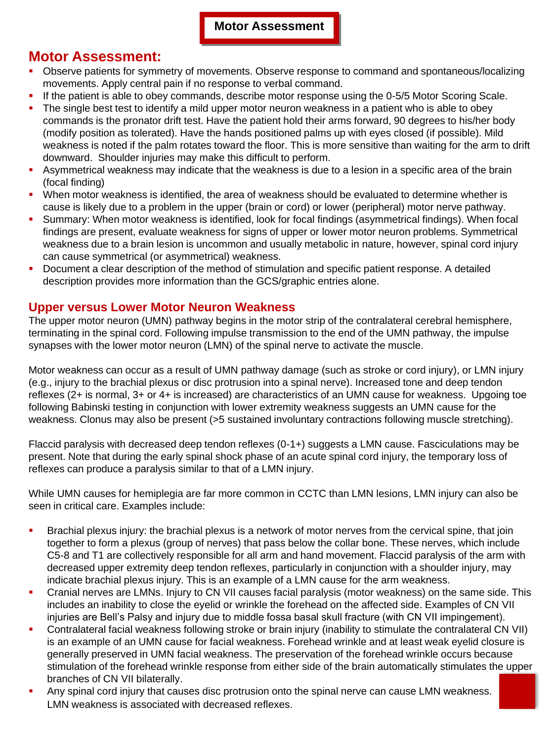## **Motor Assessment:**

- Observe patients for symmetry of movements. Observe response to command and spontaneous/localizing movements. Apply central pain if no response to verbal command.
- If the patient is able to obey commands, describe motor response using the 0-5/5 Motor Scoring Scale.
- The single best test to identify a mild upper motor neuron weakness in a patient who is able to obey commands is the pronator drift test. Have the patient hold their arms forward, 90 degrees to his/her body (modify position as tolerated). Have the hands positioned palms up with eyes closed (if possible). Mild weakness is noted if the palm rotates toward the floor. This is more sensitive than waiting for the arm to drift downward. Shoulder injuries may make this difficult to perform.
- **EX Asymmetrical weakness may indicate that the weakness is due to a lesion in a specific area of the brain** (focal finding)
- When motor weakness is identified, the area of weakness should be evaluated to determine whether is cause is likely due to a problem in the upper (brain or cord) or lower (peripheral) motor nerve pathway.
- **•** Summary: When motor weakness is identified, look for focal findings (asymmetrical findings). When focal findings are present, evaluate weakness for signs of upper or lower motor neuron problems. Symmetrical weakness due to a brain lesion is uncommon and usually metabolic in nature, however, spinal cord injury can cause symmetrical (or asymmetrical) weakness.
- Document a clear description of the method of stimulation and specific patient response. A detailed description provides more information than the GCS/graphic entries alone.

### **Upper versus Lower Motor Neuron Weakness**

The upper motor neuron (UMN) pathway begins in the motor strip of the contralateral cerebral hemisphere, terminating in the spinal cord. Following impulse transmission to the end of the UMN pathway, the impulse synapses with the lower motor neuron (LMN) of the spinal nerve to activate the muscle.

Motor weakness can occur as a result of UMN pathway damage (such as stroke or cord injury), or LMN injury (e.g., injury to the brachial plexus or disc protrusion into a spinal nerve). Increased tone and deep tendon reflexes (2+ is normal, 3+ or 4+ is increased) are characteristics of an UMN cause for weakness. Upgoing toe following Babinski testing in conjunction with lower extremity weakness suggests an UMN cause for the weakness. Clonus may also be present (>5 sustained involuntary contractions following muscle stretching).

Flaccid paralysis with decreased deep tendon reflexes (0-1+) suggests a LMN cause. Fasciculations may be present. Note that during the early spinal shock phase of an acute spinal cord injury, the temporary loss of reflexes can produce a paralysis similar to that of a LMN injury.

While UMN causes for hemiplegia are far more common in CCTC than LMN lesions, LMN injury can also be seen in critical care. Examples include:

- Brachial plexus injury: the brachial plexus is a network of motor nerves from the cervical spine, that join together to form a plexus (group of nerves) that pass below the collar bone. These nerves, which include C5-8 and T1 are collectively responsible for all arm and hand movement. Flaccid paralysis of the arm with decreased upper extremity deep tendon reflexes, particularly in conjunction with a shoulder injury, may indicate brachial plexus injury. This is an example of a LMN cause for the arm weakness.
- Cranial nerves are LMNs. Injury to CN VII causes facial paralysis (motor weakness) on the same side. This includes an inability to close the eyelid or wrinkle the forehead on the affected side. Examples of CN VII injuries are Bell's Palsy and injury due to middle fossa basal skull fracture (with CN VII impingement).
- Contralateral facial weakness following stroke or brain injury (inability to stimulate the contralateral CN VII) is an example of an UMN cause for facial weakness. Forehead wrinkle and at least weak eyelid closure is generally preserved in UMN facial weakness. The preservation of the forehead wrinkle occurs because stimulation of the forehead wrinkle response from either side of the brain automatically stimulates the upper branches of CN VII bilaterally.
- Any spinal cord injury that causes disc protrusion onto the spinal nerve can cause LMN weakness. LMN weakness is associated with decreased reflexes.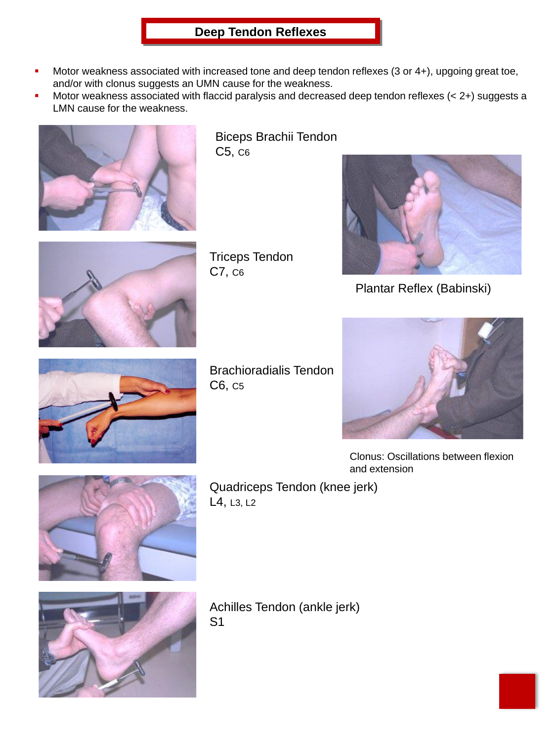## **Deep Tendon Reflexes**

- Motor weakness associated with increased tone and deep tendon reflexes  $(3$  or  $4+)$ , upgoing great toe, and/or with clonus suggests an UMN cause for the weakness.
- Motor weakness associated with flaccid paralysis and decreased deep tendon reflexes  $(< 2+)$  suggests a LMN cause for the weakness.



Biceps Brachii Tendon C5, C6



Triceps Tendon C7, C6



Plantar Reflex (Babinski)



Brachioradialis Tendon C6, C5



Clonus: Oscillations between flexion and extension



Quadriceps Tendon (knee jerk) L4, L3, L2



Achilles Tendon (ankle jerk) S1

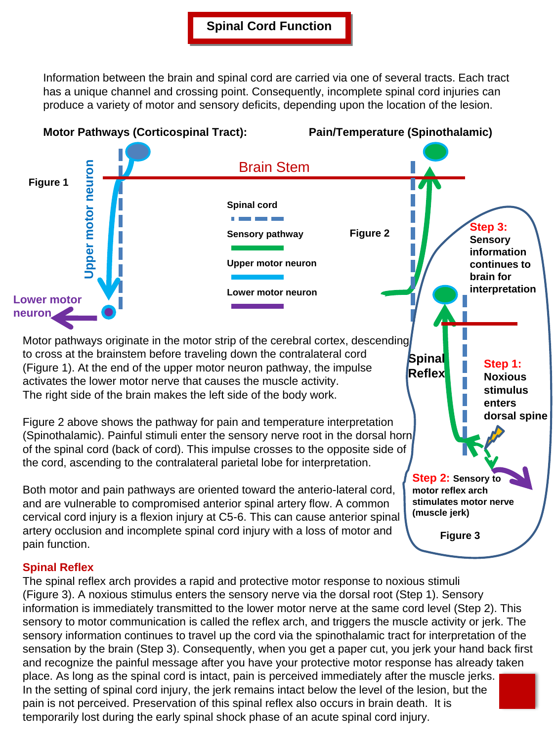Information between the brain and spinal cord are carried via one of several tracts. Each tract has a unique channel and crossing point. Consequently, incomplete spinal cord injuries can produce a variety of motor and sensory deficits, depending upon the location of the lesion.



### **Spinal Reflex**

The spinal reflex arch provides a rapid and protective motor response to noxious stimuli (Figure 3). A noxious stimulus enters the sensory nerve via the dorsal root (Step 1). Sensory information is immediately transmitted to the lower motor nerve at the same cord level (Step 2). This sensory to motor communication is called the reflex arch, and triggers the muscle activity or jerk. The sensory information continues to travel up the cord via the spinothalamic tract for interpretation of the sensation by the brain (Step 3). Consequently, when you get a paper cut, you jerk your hand back first and recognize the painful message after you have your protective motor response has already taken place. As long as the spinal cord is intact, pain is perceived immediately after the muscle jerks. In the setting of spinal cord injury, the jerk remains intact below the level of the lesion, but the pain is not perceived. Preservation of this spinal reflex also occurs in brain death. It is temporarily lost during the early spinal shock phase of an acute spinal cord injury.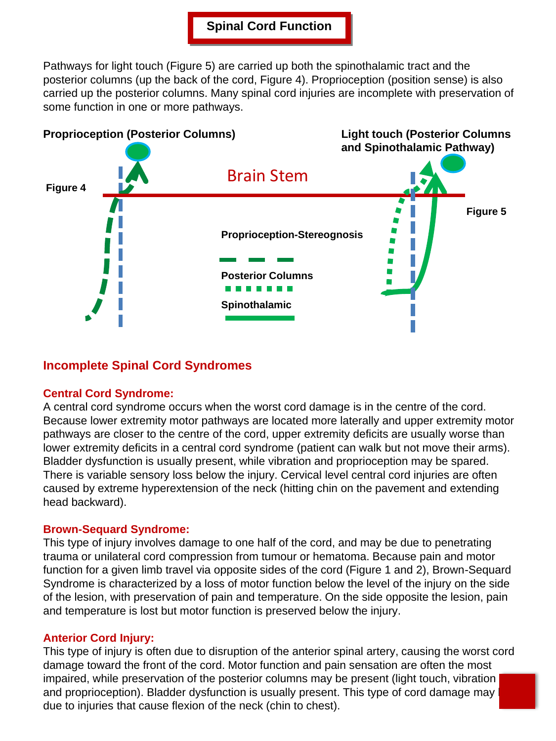### **Spinal Cord Function**

Pathways for light touch (Figure 5) are carried up both the spinothalamic tract and the posterior columns (up the back of the cord, Figure 4). Proprioception (position sense) is also carried up the posterior columns. Many spinal cord injuries are incomplete with preservation of some function in one or more pathways.



### **Incomplete Spinal Cord Syndromes**

#### **Central Cord Syndrome:**

A central cord syndrome occurs when the worst cord damage is in the centre of the cord. Because lower extremity motor pathways are located more laterally and upper extremity motor pathways are closer to the centre of the cord, upper extremity deficits are usually worse than lower extremity deficits in a central cord syndrome (patient can walk but not move their arms). Bladder dysfunction is usually present, while vibration and proprioception may be spared. There is variable sensory loss below the injury. Cervical level central cord injuries are often caused by extreme hyperextension of the neck (hitting chin on the pavement and extending head backward).

#### **Brown-Sequard Syndrome:**

This type of injury involves damage to one half of the cord, and may be due to penetrating trauma or unilateral cord compression from tumour or hematoma. Because pain and motor function for a given limb travel via opposite sides of the cord (Figure 1 and 2), Brown-Sequard Syndrome is characterized by a loss of motor function below the level of the injury on the side of the lesion, with preservation of pain and temperature. On the side opposite the lesion, pain and temperature is lost but motor function is preserved below the injury.

#### **Anterior Cord Injury:**

This type of injury is often due to disruption of the anterior spinal artery, causing the worst cord damage toward the front of the cord. Motor function and pain sensation are often the most impaired, while preservation of the posterior columns may be present (light touch, vibration and proprioception). Bladder dysfunction is usually present. This type of cord damage may be due to injuries that cause flexion of the neck (chin to chest).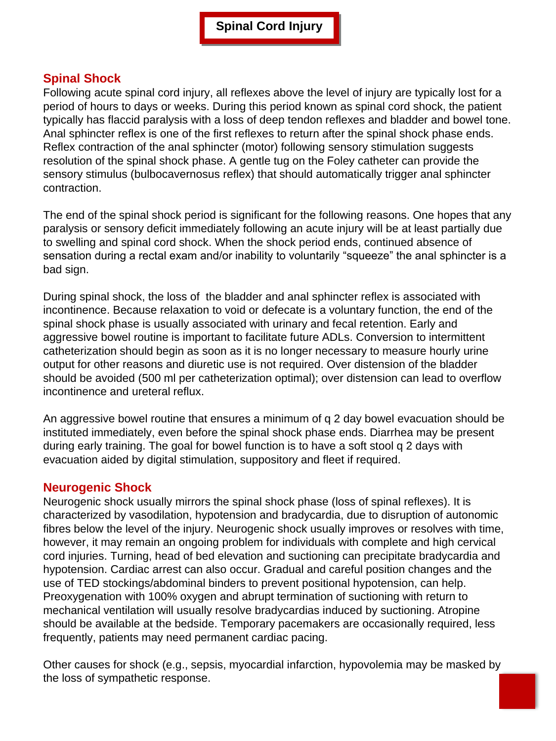### **Spinal Shock**

Following acute spinal cord injury, all reflexes above the level of injury are typically lost for a period of hours to days or weeks. During this period known as spinal cord shock, the patient typically has flaccid paralysis with a loss of deep tendon reflexes and bladder and bowel tone. Anal sphincter reflex is one of the first reflexes to return after the spinal shock phase ends. Reflex contraction of the anal sphincter (motor) following sensory stimulation suggests resolution of the spinal shock phase. A gentle tug on the Foley catheter can provide the sensory stimulus (bulbocavernosus reflex) that should automatically trigger anal sphincter contraction.

The end of the spinal shock period is significant for the following reasons. One hopes that any paralysis or sensory deficit immediately following an acute injury will be at least partially due to swelling and spinal cord shock. When the shock period ends, continued absence of sensation during a rectal exam and/or inability to voluntarily "squeeze" the anal sphincter is a bad sign.

During spinal shock, the loss of the bladder and anal sphincter reflex is associated with incontinence. Because relaxation to void or defecate is a voluntary function, the end of the spinal shock phase is usually associated with urinary and fecal retention. Early and aggressive bowel routine is important to facilitate future ADLs. Conversion to intermittent catheterization should begin as soon as it is no longer necessary to measure hourly urine output for other reasons and diuretic use is not required. Over distension of the bladder should be avoided (500 ml per catheterization optimal); over distension can lead to overflow incontinence and ureteral reflux.

An aggressive bowel routine that ensures a minimum of q 2 day bowel evacuation should be instituted immediately, even before the spinal shock phase ends. Diarrhea may be present during early training. The goal for bowel function is to have a soft stool q 2 days with evacuation aided by digital stimulation, suppository and fleet if required.

### **Neurogenic Shock**

Neurogenic shock usually mirrors the spinal shock phase (loss of spinal reflexes). It is characterized by vasodilation, hypotension and bradycardia, due to disruption of autonomic fibres below the level of the injury. Neurogenic shock usually improves or resolves with time, however, it may remain an ongoing problem for individuals with complete and high cervical cord injuries. Turning, head of bed elevation and suctioning can precipitate bradycardia and hypotension. Cardiac arrest can also occur. Gradual and careful position changes and the use of TED stockings/abdominal binders to prevent positional hypotension, can help. Preoxygenation with 100% oxygen and abrupt termination of suctioning with return to mechanical ventilation will usually resolve bradycardias induced by suctioning. Atropine should be available at the bedside. Temporary pacemakers are occasionally required, less frequently, patients may need permanent cardiac pacing.

Other causes for shock (e.g., sepsis, myocardial infarction, hypovolemia may be masked by the loss of sympathetic response.